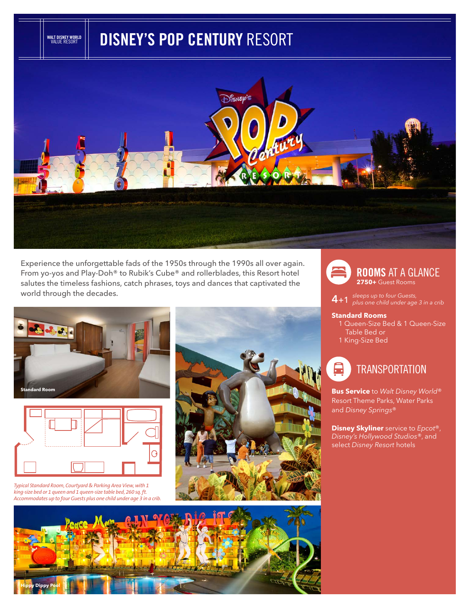# **DISNEY'S POP CENTURY** RESORT



Experience the unforgettable fads of the 1950s through the 1990s all over again. From yo-yos and Play-Doh® to Rubik's Cube® and rollerblades, this Resort hotel salutes the timeless fashions, catch phrases, toys and dances that captivated the world through the decades.



**WALT DISNEY WORLD** VALUE RESORT



*Typical Standard Room, Courtyard & Parking Area View, with 1 king-size bed or 1 queen and 1 queen-size table bed, 260 sq. ft. Accommodates up to four Guests plus one child under age 3 in a crib.*







**4**+1 *sleeps up to four Guests, plus one child under age 3 in a crib* 

#### **Standard Rooms**

- 1 Queen-Size Bed & 1 Queen-Size Table Bed or
- 1 King-Size Bed



Resort Theme Parks, Water Parks and *Disney Springs*®

**Disney Skyliner** service to *Epcot*®, *Disney's Hollywood Studios®*, and select *Disney Resort* hotels